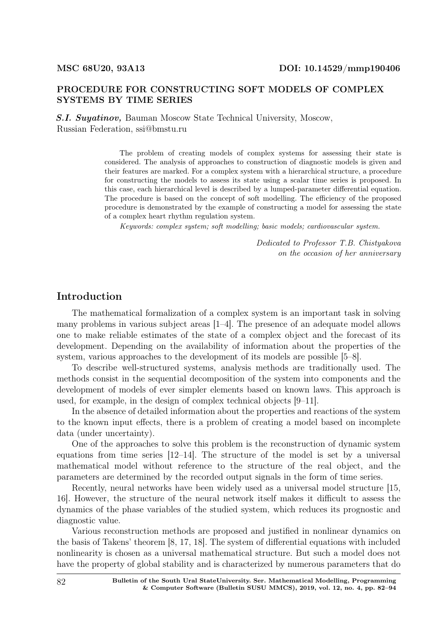#### PROCEDURE FOR CONSTRUCTING SOFT MODELS OF COMPLEX SYSTEMS BY TIME SERIES

S.I. Suyatinov, Bauman Moscow State Technical University, Moscow, Russian Federation, ssi@bmstu.ru

> The problem of creating models of complex systems for assessing their state is considered. The analysis of approaches to construction of diagnostic models is given and their features are marked. For a complex system with a hierarchical structure, a procedure for constructing the models to assess its state using a scalar time series is proposed. In this case, each hierarchical level is described by a lumped-parameter differential equation. The procedure is based on the concept of soft modelling. The efficiency of the proposed procedure is demonstrated by the example of constructing a model for assessing the state of a complex heart rhythm regulation system.

Keywords: complex system; soft modelling; basic models; cardiovascular system.

*Dedicated to Professor T.B. Chistyakova on the occasion of her anniversary*

#### Introduction

The mathematical formalization of a complex system is an important task in solving many problems in various subject areas [1–4]. The presence of an adequate model allows one to make reliable estimates of the state of a complex object and the forecast of its development. Depending on the availability of information about the properties of the system, various approaches to the development of its models are possible [5–8].

To describe well-structured systems, analysis methods are traditionally used. The methods consist in the sequential decomposition of the system into components and the development of models of ever simpler elements based on known laws. This approach is used, for example, in the design of complex technical objects [9–11].

In the absence of detailed information about the properties and reactions of the system to the known input effects, there is a problem of creating a model based on incomplete data (under uncertainty).

One of the approaches to solve this problem is the reconstruction of dynamic system equations from time series [12–14]. The structure of the model is set by a universal mathematical model without reference to the structure of the real object, and the parameters are determined by the recorded output signals in the form of time series.

Recently, neural networks have been widely used as a universal model structure [15, 16]. However, the structure of the neural network itself makes it difficult to assess the dynamics of the phase variables of the studied system, which reduces its prognostic and diagnostic value.

Various reconstruction methods are proposed and justified in nonlinear dynamics on the basis of Takens' theorem [8, 17, 18]. The system of differential equations with included nonlinearity is chosen as a universal mathematical structure. But such a model does not have the property of global stability and is characterized by numerous parameters that do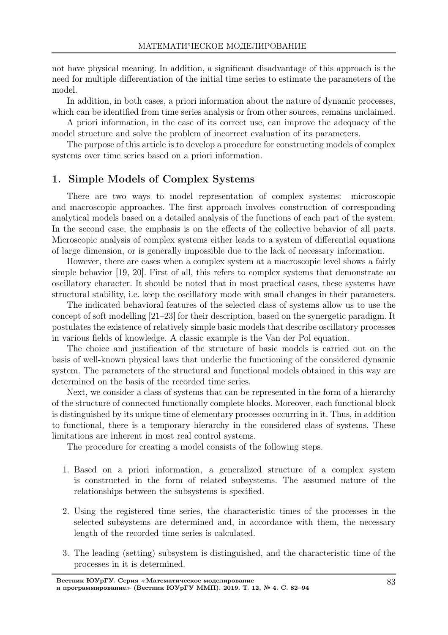not have physical meaning. In addition, a significant disadvantage of this approach is the need for multiple differentiation of the initial time series to estimate the parameters of the model.

In addition, in both cases, a priori information about the nature of dynamic processes, which can be identified from time series analysis or from other sources, remains unclaimed.

A priori information, in the case of its correct use, can improve the adequacy of the model structure and solve the problem of incorrect evaluation of its parameters.

The purpose of this article is to develop a procedure for constructing models of complex systems over time series based on a priori information.

## 1. Simple Models of Complex Systems

There are two ways to model representation of complex systems: microscopic and macroscopic approaches. The first approach involves construction of corresponding analytical models based on a detailed analysis of the functions of each part of the system. In the second case, the emphasis is on the effects of the collective behavior of all parts. Microscopic analysis of complex systems either leads to a system of differential equations of large dimension, or is generally impossible due to the lack of necessary information.

However, there are cases when a complex system at a macroscopic level shows a fairly simple behavior [19, 20]. First of all, this refers to complex systems that demonstrate an oscillatory character. It should be noted that in most practical cases, these systems have structural stability, i.e. keep the oscillatory mode with small changes in their parameters.

The indicated behavioral features of the selected class of systems allow us to use the concept of soft modelling [21–23] for their description, based on the synergetic paradigm. It postulates the existence of relatively simple basic models that describe oscillatory processes in various fields of knowledge. A classic example is the Van der Pol equation.

The choice and justification of the structure of basic models is carried out on the basis of well-known physical laws that underlie the functioning of the considered dynamic system. The parameters of the structural and functional models obtained in this way are determined on the basis of the recorded time series.

Next, we consider a class of systems that can be represented in the form of a hierarchy of the structure of connected functionally complete blocks. Moreover, each functional block is distinguished by its unique time of elementary processes occurring in it. Thus, in addition to functional, there is a temporary hierarchy in the considered class of systems. These limitations are inherent in most real control systems.

The procedure for creating a model consists of the following steps.

- 1. Based on a priori information, a generalized structure of a complex system is constructed in the form of related subsystems. The assumed nature of the relationships between the subsystems is specified.
- 2. Using the registered time series, the characteristic times of the processes in the selected subsystems are determined and, in accordance with them, the necessary length of the recorded time series is calculated.
- 3. The leading (setting) subsystem is distinguished, and the characteristic time of the processes in it is determined.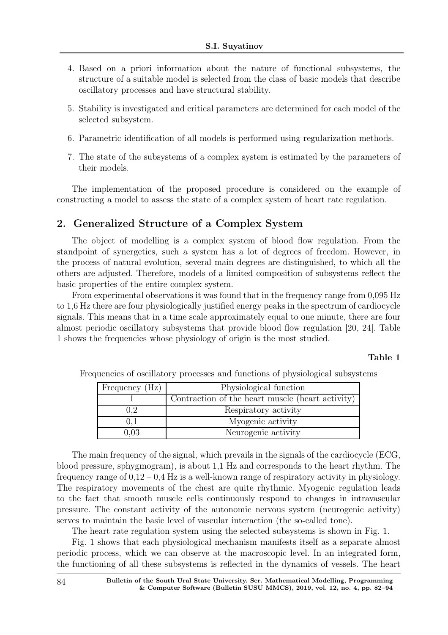- 4. Based on a priori information about the nature of functional subsystems, the structure of a suitable model is selected from the class of basic models that describe oscillatory processes and have structural stability.
- 5. Stability is investigated and critical parameters are determined for each model of the selected subsystem.
- 6. Parametric identification of all models is performed using regularization methods.
- 7. The state of the subsystems of a complex system is estimated by the parameters of their models.

The implementation of the proposed procedure is considered on the example of constructing a model to assess the state of a complex system of heart rate regulation.

#### 2. Generalized Structure of a Complex System

The object of modelling is a complex system of blood flow regulation. From the standpoint of synergetics, such a system has a lot of degrees of freedom. However, in the process of natural evolution, several main degrees are distinguished, to which all the others are adjusted. Therefore, models of a limited composition of subsystems reflect the basic properties of the entire complex system.

From experimental observations it was found that in the frequency range from 0,095 Hz to 1,6 Hz there are four physiologically justified energy peaks in the spectrum of cardiocycle signals. This means that in a time scale approximately equal to one minute, there are four almost periodic oscillatory subsystems that provide blood flow regulation [20, 24]. Table 1 shows the frequencies whose physiology of origin is the most studied.

#### Table 1

| Frequency (Hz) | Physiological function                           |
|----------------|--------------------------------------------------|
|                | Contraction of the heart muscle (heart activity) |
| $^{1.2}$       | Respiratory activity                             |
|                | Myogenic activity                                |
| 0.03           | Neurogenic activity                              |

Frequencies of oscillatory processes and functions of physiological subsystems

The main frequency of the signal, which prevails in the signals of the cardiocycle (ECG, blood pressure, sphygmogram), is about 1,1 Hz and corresponds to the heart rhythm. The frequency range of  $0.12 - 0.4$  Hz is a well-known range of respiratory activity in physiology. The respiratory movements of the chest are quite rhythmic. Myogenic regulation leads to the fact that smooth muscle cells continuously respond to changes in intravascular pressure. The constant activity of the autonomic nervous system (neurogenic activity) serves to maintain the basic level of vascular interaction (the so-called tone).

The heart rate regulation system using the selected subsystems is shown in Fig. 1.

Fig. 1 shows that each physiological mechanism manifests itself as a separate almost periodic process, which we can observe at the macroscopic level. In an integrated form, the functioning of all these subsystems is reflected in the dynamics of vessels. The heart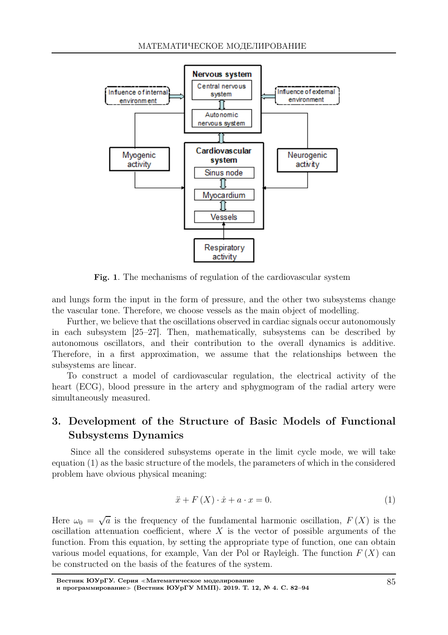

Fig. 1. The mechanisms of regulation of the cardiovascular system

and lungs form the input in the form of pressure, and the other two subsystems change the vascular tone. Therefore, we choose vessels as the main object of modelling.

Further, we believe that the oscillations observed in cardiac signals occur autonomously in each subsystem [25–27]. Then, mathematically, subsystems can be described by autonomous oscillators, and their contribution to the overall dynamics is additive. Therefore, in a first approximation, we assume that the relationships between the subsystems are linear.

To construct a model of cardiovascular regulation, the electrical activity of the heart (ECG), blood pressure in the artery and sphygmogram of the radial artery were simultaneously measured.

# 3. Development of the Structure of Basic Models of Functional Subsystems Dynamics

Since all the considered subsystems operate in the limit cycle mode, we will take equation (1) as the basic structure of the models, the parameters of which in the considered problem have obvious physical meaning:

$$
\ddot{x} + F\left(X\right) \cdot \dot{x} + a \cdot x = 0. \tag{1}
$$

Here  $\omega_0 = \sqrt{a}$  is the frequency of the fundamental harmonic oscillation,  $F(X)$  is the oscillation attenuation coefficient, where  $X$  is the vector of possible arguments of the function. From this equation, by setting the appropriate type of function, one can obtain various model equations, for example, Van der Pol or Rayleigh. The function  $F(X)$  can be constructed on the basis of the features of the system.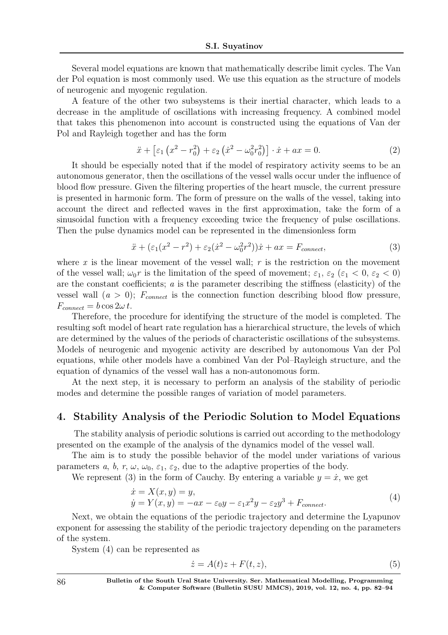Several model equations are known that mathematically describe limit cycles. The Van der Pol equation is most commonly used. We use this equation as the structure of models of neurogenic and myogenic regulation.

A feature of the other two subsystems is their inertial character, which leads to a decrease in the amplitude of oscillations with increasing frequency. A combined model that takes this phenomenon into account is constructed using the equations of Van der Pol and Rayleigh together and has the form

$$
\ddot{x} + \left[\varepsilon_1 \left(x^2 - r_0^2\right) + \varepsilon_2 \left(\dot{x}^2 - \omega_0^2 r_0^2\right)\right] \cdot \dot{x} + ax = 0. \tag{2}
$$

It should be especially noted that if the model of respiratory activity seems to be an autonomous generator, then the oscillations of the vessel walls occur under the influence of blood flow pressure. Given the filtering properties of the heart muscle, the current pressure is presented in harmonic form. The form of pressure on the walls of the vessel, taking into account the direct and reflected waves in the first approximation, take the form of a sinusoidal function with a frequency exceeding twice the frequency of pulse oscillations. Then the pulse dynamics model can be represented in the dimensionless form

$$
\ddot{x} + (\varepsilon_1(x^2 - r^2) + \varepsilon_2(\dot{x}^2 - \omega_0^2 r^2))\dot{x} + ax = F_{connect},
$$
\n(3)

where x is the linear movement of the vessel wall;  $r$  is the restriction on the movement of the vessel wall;  $\omega_0 r$  is the limitation of the speed of movement;  $\varepsilon_1$ ,  $\varepsilon_2$  ( $\varepsilon_1$  < 0,  $\varepsilon_2$  < 0) are the constant coefficients; a is the parameter describing the stiffness (elasticity) of the vessel wall  $(a > 0)$ ;  $F_{connect}$  is the connection function describing blood flow pressure,  $F_{connect} = b \cos 2\omega t$ .

Therefore, the procedure for identifying the structure of the model is completed. The resulting soft model of heart rate regulation has a hierarchical structure, the levels of which are determined by the values of the periods of characteristic oscillations of the subsystems. Models of neurogenic and myogenic activity are described by autonomous Van der Pol equations, while other models have a combined Van der Pol–Rayleigh structure, and the equation of dynamics of the vessel wall has a non-autonomous form.

At the next step, it is necessary to perform an analysis of the stability of periodic modes and determine the possible ranges of variation of model parameters.

### 4. Stability Analysis of the Periodic Solution to Model Equations

The stability analysis of periodic solutions is carried out according to the methodology presented on the example of the analysis of the dynamics model of the vessel wall.

The aim is to study the possible behavior of the model under variations of various parameters a, b, r,  $\omega$ ,  $\omega_0$ ,  $\varepsilon_1$ ,  $\varepsilon_2$ , due to the adaptive properties of the body.

We represent (3) in the form of Cauchy. By entering a variable  $y = \dot{x}$ , we get

$$
\begin{aligned} \dot{x} &= X(x, y) = y, \\ \dot{y} &= Y(x, y) = -ax - \varepsilon_0 y - \varepsilon_1 x^2 y - \varepsilon_2 y^3 + F_{connect}. \end{aligned} \tag{4}
$$

Next, we obtain the equations of the periodic trajectory and determine the Lyapunov exponent for assessing the stability of the periodic trajectory depending on the parameters of the system.

System (4) can be represented as

$$
\dot{z} = A(t)z + F(t, z),\tag{5}
$$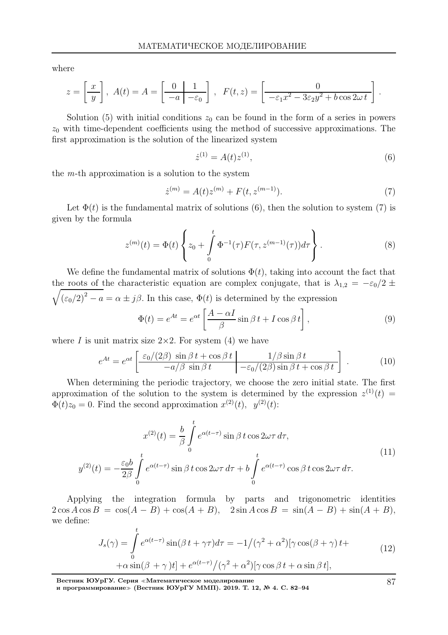where

$$
z = \left[\frac{x}{y}\right], A(t) = A = \left[\frac{0}{-a} \frac{1}{-\varepsilon_0}\right], F(t, z) = \left[\frac{0}{-\varepsilon_1 x^2 - 3\varepsilon_2 y^2 + b \cos 2\omega t}\right]
$$

Solution (5) with initial conditions  $z_0$  can be found in the form of a series in powers  $z_0$  with time-dependent coefficients using the method of successive approximations. The first approximation is the solution of the linearized system

$$
\dot{z}^{(1)} = A(t)z^{(1)},\tag{6}
$$

.

the  $m$ -th approximation is a solution to the system

$$
\dot{z}^{(m)} = A(t)z^{(m)} + F(t, z^{(m-1)}).
$$
\n(7)

Let  $\Phi(t)$  is the fundamental matrix of solutions (6), then the solution to system (7) is given by the formula

$$
z^{(m)}(t) = \Phi(t) \left\{ z_0 + \int_0^t \Phi^{-1}(\tau) F(\tau, z^{(m-1)}(\tau)) d\tau \right\}.
$$
 (8)

We define the fundamental matrix of solutions  $\Phi(t)$ , taking into account the fact that the roots of the characteristic equation are complex conjugate, that is  $\lambda_{1,2} = -\epsilon_0/2 \pm \epsilon_0$  $\sqrt{(\epsilon_0/2)^2 - a} = \alpha \pm j\beta$ . In this case,  $\Phi(t)$  is determined by the expression

$$
\Phi(t) = e^{At} = e^{\alpha t} \left[ \frac{A - \alpha I}{\beta} \sin \beta t + I \cos \beta t \right],\tag{9}
$$

where I is unit matrix size  $2\times 2$ . For system (4) we have

$$
e^{At} = e^{\alpha t} \left[ \frac{\varepsilon_0/(2\beta) \sin \beta t + \cos \beta t}{-a/\beta \sin \beta t} \middle| \frac{1/\beta \sin \beta t}{-\varepsilon_0/(2\beta) \sin \beta t + \cos \beta t} \right].
$$
 (10)

When determining the periodic trajectory, we choose the zero initial state. The first approximation of the solution to the system is determined by the expression  $z^{(1)}(t)$  $\Phi(t)z_0 = 0$ . Find the second approximation  $x^{(2)}(t)$ ,  $y^{(2)}(t)$ :

$$
x^{(2)}(t) = \frac{b}{\beta} \int_{0}^{t} e^{\alpha(t-\tau)} \sin \beta t \cos 2\omega \tau d\tau,
$$
  

$$
y^{(2)}(t) = -\frac{\varepsilon_0 b}{2\beta} \int_{0}^{t} e^{\alpha(t-\tau)} \sin \beta t \cos 2\omega \tau d\tau + b \int_{0}^{t} e^{\alpha(t-\tau)} \cos \beta t \cos 2\omega \tau d\tau.
$$
 (11)

Applying the integration formula by parts and trigonometric identities  $2 \cos A \cos B = \cos(A - B) + \cos(A + B), 2 \sin A \cos B = \sin(A - B) + \sin(A + B),$ we define:

$$
J_s(\gamma) = \int_0^t e^{\alpha(t-\tau)} \sin(\beta t + \gamma \tau) d\tau = -1/(\gamma^2 + \alpha^2) [\gamma \cos(\beta + \gamma) t + \alpha \sin(\beta + \gamma) t] + e^{\alpha(t-\tau)} / (\gamma^2 + \alpha^2) [\gamma \cos \beta t + \alpha \sin \beta t],
$$
\n(12)

Вестник ЮУрГУ. Серия <sup>≪</sup>Математическое моделирование

и программирование<sup>≫</sup> (Вестник ЮУрГУ ММП). 2019. Т. 12, № 4. С. 82–94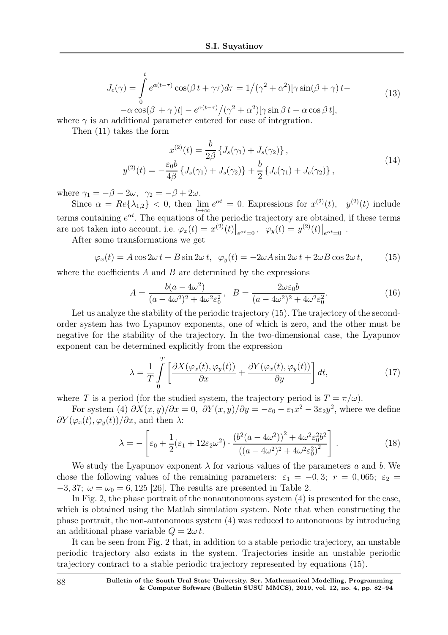$$
J_c(\gamma) = \int_0^t e^{\alpha(t-\tau)} \cos(\beta t + \gamma \tau) d\tau = 1/(\gamma^2 + \alpha^2) [\gamma \sin(\beta + \gamma) t -
$$
\n(13)

 $-\alpha \cos(\beta + \gamma)t] - e^{\alpha(t-\tau)} / (\gamma^2 + \alpha^2) [\gamma \sin \beta t - \alpha \cos \beta t],$ where  $\gamma$  is an additional parameter entered for ease of integration.

Then (11) takes the form

$$
x^{(2)}(t) = \frac{b}{2\beta} \left\{ J_s(\gamma_1) + J_s(\gamma_2) \right\},
$$
  

$$
y^{(2)}(t) = -\frac{\varepsilon_0 b}{4\beta} \left\{ J_s(\gamma_1) + J_s(\gamma_2) \right\} + \frac{b}{2} \left\{ J_c(\gamma_1) + J_c(\gamma_2) \right\},
$$
 (14)

where  $\gamma_1 = -\beta - 2\omega$ ,  $\gamma_2 = -\beta + 2\omega$ .

Since  $\alpha = Re\{\lambda_{1,2}\} < 0$ , then  $\lim_{t\to\infty} e^{\alpha t} = 0$ . Expressions for  $x^{(2)}(t)$ ,  $y^{(2)}(t)$  include terms containing  $e^{\alpha t}$ . The equations of the periodic trajectory are obtained, if these terms are not taken into account, i.e.  $\varphi_x(t) = x^{(2)}(t)|_{e^{\alpha t} = 0}$ ,  $\varphi_y(t) = y^{(2)}(t)|_{e^{\alpha t} = 0}$ .

After some transformations we get

$$
\varphi_x(t) = A\cos 2\omega t + B\sin 2\omega t, \quad \varphi_y(t) = -2\omega A\sin 2\omega t + 2\omega B\cos 2\omega t,\tag{15}
$$

where the coefficients  $A$  and  $B$  are determined by the expressions

$$
A = \frac{b(a - 4\omega^2)}{(a - 4\omega^2)^2 + 4\omega^2 \varepsilon_0^2}, \quad B = \frac{2\omega \varepsilon_0 b}{(a - 4\omega^2)^2 + 4\omega^2 \varepsilon_0^2}.
$$
 (16)

Let us analyze the stability of the periodic trajectory (15). The trajectory of the secondorder system has two Lyapunov exponents, one of which is zero, and the other must be negative for the stability of the trajectory. In the two-dimensional case, the Lyapunov exponent can be determined explicitly from the expression

$$
\lambda = \frac{1}{T} \int_{0}^{T} \left[ \frac{\partial X(\varphi_x(t), \varphi_y(t))}{\partial x} + \frac{\partial Y(\varphi_x(t), \varphi_y(t))}{\partial y} \right] dt,\tag{17}
$$

where T is a period (for the studied system, the trajectory period is  $T = \pi/\omega$ ).

For system (4)  $\partial X(x, y)/\partial x = 0$ ,  $\partial Y(x, y)/\partial y = -\varepsilon_0 - \varepsilon_1 x^2 - 3\varepsilon_2 y^2$ , where we define  $\frac{\partial Y(\varphi_x(t), \varphi_y(t))}{\partial x}$ , and then  $\lambda$ :

$$
\lambda = -\left[\varepsilon_0 + \frac{1}{2}(\varepsilon_1 + 12\varepsilon_2\omega^2) \cdot \frac{\left(b^2(a - 4\omega^2)\right)^2 + 4\omega^2\varepsilon_0^2 b^2}{\left((a - 4\omega^2)^2 + 4\omega^2\varepsilon_0^2\right)^2}\right].\tag{18}
$$

We study the Lyapunov exponent  $\lambda$  for various values of the parameters a and b. We chose the following values of the remaining parameters:  $\varepsilon_1 = -0, 3; r = 0, 065; \varepsilon_2 =$  $-3,37; \omega = \omega_0 = 6,125$  [26]. The results are presented in Table 2.

In Fig. 2, the phase portrait of the nonautonomous system (4) is presented for the case, which is obtained using the Matlab simulation system. Note that when constructing the phase portrait, the non-autonomous system (4) was reduced to autonomous by introducing an additional phase variable  $Q = 2\omega t$ .

It can be seen from Fig. 2 that, in addition to a stable periodic trajectory, an unstable periodic trajectory also exists in the system. Trajectories inside an unstable periodic trajectory contract to a stable periodic trajectory represented by equations (15).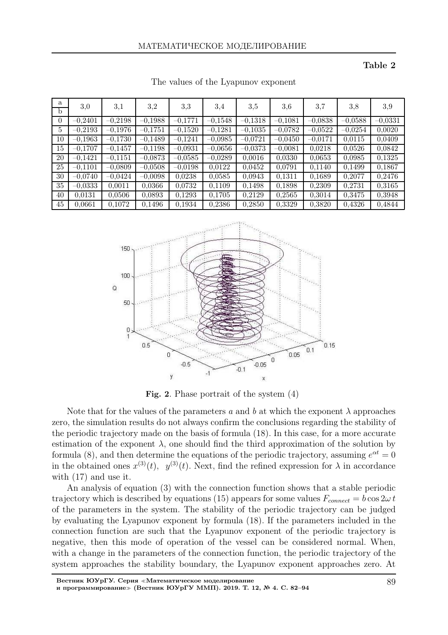Table 2

| a<br>b   | 3,0       | 3,1       | 3,2       | 3,3       | 3.4       | 3,5       | 3,6       | 3,7       | 3,8       | 3,9       |
|----------|-----------|-----------|-----------|-----------|-----------|-----------|-----------|-----------|-----------|-----------|
| $\theta$ | $-0,2401$ | $-0,2198$ | $-0,1988$ | $-0,1771$ | $-0,1548$ | $-0,1318$ | $-0,1081$ | $-0,0838$ | $-0,0588$ | $-0,0331$ |
| 5        | $-0,2193$ | $-0,1976$ | $-0,1751$ | $-0,1520$ | $-0,1281$ | $-0,1035$ | $-0,0782$ | $-0,0522$ | $-0,0254$ | 0,0020    |
| 10       | $-0,1963$ | $-0,1730$ | $-0,1489$ | $-0,1241$ | $-0,0985$ | $-0,0721$ | $-0,0450$ | $-0,0171$ | 0,0115    | 0,0409    |
| 15       | $-0,1707$ | $-0,1457$ | $-0,1198$ | $-0,0931$ | $-0,0656$ | $-0,0373$ | $-0,0081$ | 0,0218    | 0,0526    | 0,0842    |
| 20       | $-0,1421$ | $-0,1151$ | $-0,0873$ | $-0.0585$ | $-0,0289$ | 0,0016    | 0.0330    | 0,0653    | 0.0985    | 0,1325    |
| 25       | $-0,1101$ | $-0,0809$ | $-0,0508$ | $-0,0198$ | 0,0122    | 0,0452    | 0,0791    | 0,1140    | 0,1499    | 0,1867    |
| 30       | $-0,0740$ | $-0,0424$ | $-0,0098$ | 0,0238    | 0,0585    | 0,0943    | 0,1311    | 0,1689    | 0,2077    | 0,2476    |
| 35       | $-0,0333$ | 0,0011    | 0,0366    | 0,0732    | 0,1109    | 0,1498    | 0,1898    | 0,2309    | 0,2731    | 0,3165    |
| 40       | 0.0131    | 0,0506    | 0,0893    | 0,1293    | 0,1705    | 0,2129    | 0,2565    | 0,3014    | 0,3475    | 0.3948    |
| 45       | 0.0661    | 0,1072    | 0,1496    | 0,1934    | 0.2386    | 0,2850    | 0,3329    | 0,3820    | 0.4326    | 0.4844    |

The values of the Lyapunov exponent



Fig. 2. Phase portrait of the system (4)

Note that for the values of the parameters a and b at which the exponent  $\lambda$  approaches zero, the simulation results do not always confirm the conclusions regarding the stability of the periodic trajectory made on the basis of formula (18). In this case, for a more accurate estimation of the exponent  $\lambda$ , one should find the third approximation of the solution by formula (8), and then determine the equations of the periodic trajectory, assuming  $e^{\alpha t} = 0$ in the obtained ones  $x^{(3)}(t)$ ,  $y^{(3)}(t)$ . Next, find the refined expression for  $\lambda$  in accordance with (17) and use it.

An analysis of equation (3) with the connection function shows that a stable periodic trajectory which is described by equations (15) appears for some values  $F_{connect} = b \cos 2\omega t$ of the parameters in the system. The stability of the periodic trajectory can be judged by evaluating the Lyapunov exponent by formula (18). If the parameters included in the connection function are such that the Lyapunov exponent of the periodic trajectory is negative, then this mode of operation of the vessel can be considered normal. When, with a change in the parameters of the connection function, the periodic trajectory of the system approaches the stability boundary, the Lyapunov exponent approaches zero. At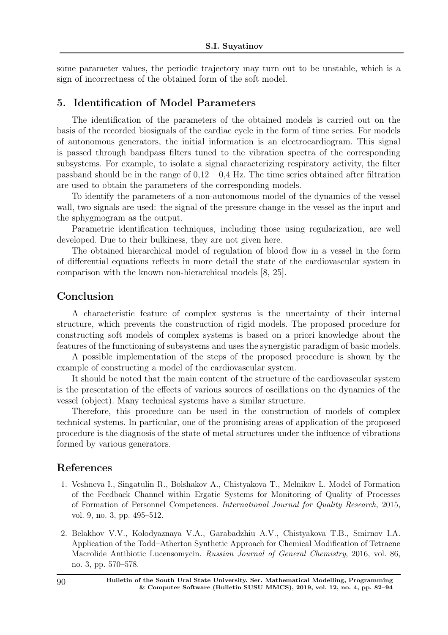some parameter values, the periodic trajectory may turn out to be unstable, which is a sign of incorrectness of the obtained form of the soft model.

#### 5. Identification of Model Parameters

The identification of the parameters of the obtained models is carried out on the basis of the recorded biosignals of the cardiac cycle in the form of time series. For models of autonomous generators, the initial information is an electrocardiogram. This signal is passed through bandpass filters tuned to the vibration spectra of the corresponding subsystems. For example, to isolate a signal characterizing respiratory activity, the filter passband should be in the range of  $0.12 - 0.4$  Hz. The time series obtained after filtration are used to obtain the parameters of the corresponding models.

To identify the parameters of a non-autonomous model of the dynamics of the vessel wall, two signals are used: the signal of the pressure change in the vessel as the input and the sphygmogram as the output.

Parametric identification techniques, including those using regularization, are well developed. Due to their bulkiness, they are not given here.

The obtained hierarchical model of regulation of blood flow in a vessel in the form of differential equations reflects in more detail the state of the cardiovascular system in comparison with the known non-hierarchical models [8, 25].

### Conclusion

A characteristic feature of complex systems is the uncertainty of their internal structure, which prevents the construction of rigid models. The proposed procedure for constructing soft models of complex systems is based on a priori knowledge about the features of the functioning of subsystems and uses the synergistic paradigm of basic models.

A possible implementation of the steps of the proposed procedure is shown by the example of constructing a model of the cardiovascular system.

It should be noted that the main content of the structure of the cardiovascular system is the presentation of the effects of various sources of oscillations on the dynamics of the vessel (object). Many technical systems have a similar structure.

Therefore, this procedure can be used in the construction of models of complex technical systems. In particular, one of the promising areas of application of the proposed procedure is the diagnosis of the state of metal structures under the influence of vibrations formed by various generators.

#### References

- 1. Veshneva I., Singatulin R., Bolshakov A., Chistyakova T., Melnikov L. Model of Formation of the Feedback Channel within Ergatic Systems for Monitoring of Quality of Processes of Formation of Personnel Competences. *International Journal for Quality Research*, 2015, vol. 9, no. 3, pp. 495–512.
- 2. Belakhov V.V., Kolodyaznaya V.A., Garabadzhiu A.V., Chistyakova T.B., Smirnov I.A. Application of the Todd–Atherton Synthetic Approach for Chemical Modification of Tetraene Macrolide Antibiotic Lucensomycin. *Russian Journal of General Chemistry*, 2016, vol. 86, no. 3, pp. 570–578.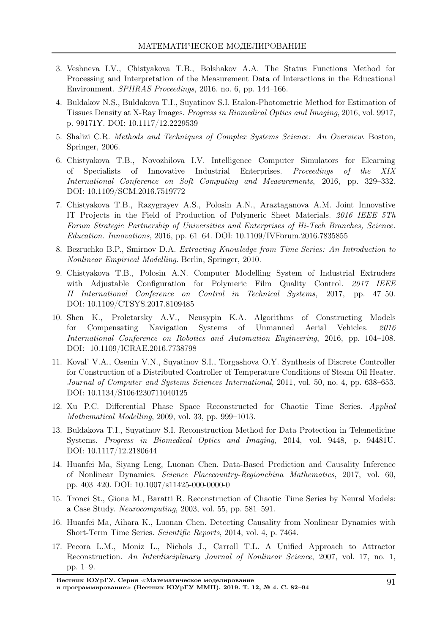- 3. Veshneva I.V., Chistyakova T.B., Bolshakov A.A. The Status Functions Method for Processing and Interpretation of the Measurement Data of Interactions in the Educational Environment. *SPIIRAS Proceedings*, 2016. no. 6, pp. 144–166.
- 4. Buldakov N.S., Buldakova T.I., Suyatinov S.I. Etalon-Photometric Method for Estimation of Tissues Density at X-Ray Images. *Progress in Biomedical Optics and Imaging*, 2016, vol. 9917, p. 99171Y. DOI: 10.1117/12.2229539
- 5. Shalizi C.R. *Methods and Techniques of Complex Systems Science: An Overview*. Boston, Springer, 2006.
- 6. Chistyakova T.B., Novozhilova I.V. Intelligence Computer Simulators for Elearning of Specialists of Innovative Industrial Enterprises. *Proceedings of the XIX International Conference on Soft Computing and Measurements*, 2016, pp. 329–332. DOI: 10.1109/SCM.2016.7519772
- 7. Chistyakova T.B., Razygrayev A.S., Polosin A.N., Araztaganova A.M. Joint Innovative IT Projects in the Field of Production of Polymeric Sheet Materials. *2016 IEEE 5Th Forum Strategic Partnership of Universities and Enterprises of Hi-Tech Branches, Science. Education. Innovations*, 2016, pp. 61–64. DOI: 10.1109/IVForum.2016.7835855
- 8. Bezruchko B.P., Smirnov D.A. *Extracting Knowledge from Time Series: An Introduction to Nonlinear Empirical Modelling*. Berlin, Springer, 2010.
- 9. Chistyakova T.B., Polosin A.N. Computer Modelling System of Industrial Extruders with Adjustable Configuration for Polymeric Film Quality Control. *2017 IEEE II International Conference on Control in Technical Systems*, 2017, pp. 47–50. DOI: 10.1109/CTSYS.2017.8109485
- 10. Shen K., Proletarsky A.V., Neusypin K.A. Algorithms of Constructing Models for Compensating Navigation Systems of Unmanned Aerial Vehicles. *2016 International Conference on Robotics and Automation Engineering*, 2016, pp. 104–108. DOI: 10.1109/ICRAE.2016.7738798
- 11. Koval' V.A., Osenin V.N., Suyatinov S.I., Torgashova O.Y. Synthesis of Discrete Controller for Construction of a Distributed Controller of Temperature Conditions of Steam Oil Heater. *Journal of Computer and Systems Sciences International*, 2011, vol. 50, no. 4, pp. 638–653. DOI: 10.1134/S1064230711040125
- 12. Xu P.C. Differential Phase Space Reconstructed for Chaotic Time Series. *Applied Mathematical Modelling*, 2009, vol. 33, pp. 999–1013.
- 13. Buldakova T.I., Suyatinov S.I. Reconstruction Method for Data Protection in Telemedicine Systems. *Progress in Biomedical Optics and Imaging*, 2014, vol. 9448, p. 94481U. DOI: 10.1117/12.2180644
- 14. Huanfei Ma, Siyang Leng, Luonan Chen. Data-Based Prediction and Causality Inference of Nonlinear Dynamics. *Science Placecountry-Regionchina Mathematics*, 2017, vol. 60, pp. 403–420. DOI: 10.1007/s11425-000-0000-0
- 15. Tronci St., Giona M., Baratti R. Reconstruction of Chaotic Time Series by Neural Models: a Case Study. *Neurocomputing*, 2003, vol. 55, pp. 581–591.
- 16. Huanfei Ma, Aihara K., Luonan Chen. Detecting Causality from Nonlinear Dynamics with Short-Term Time Series. *Scientific Reports*, 2014, vol. 4, p. 7464.
- 17. Pecora L.M., Moniz L., Nichols J., Carroll T.L. A Unified Approach to Attractor Reconstruction. *An Interdisciplinary Journal of Nonlinear Science*, 2007, vol. 17, no. 1, pp. 1–9.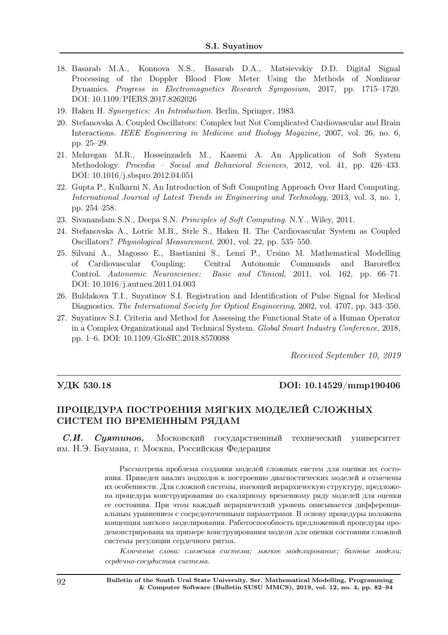- 18. Basarab M.A., Konnova N.S., Basarab D.A., Matsievskiy D.D. Digital Signal Processing of the Doppler Blood Flow Meter Using the Methods of Nonlinear Dynamics. *Progress in Electromagnetics Research Symposium*, 2017, pp. 1715–1720. DOI: 10.1109/PIERS.2017.8262026
- 19. Haken H. *Synergetics: An Introduction*. Berlin, Springer, 1983.
- 20. Stefanovska A. Coupled Oscillators: Complex but Not Complicated Cardiovascular and Brain Interactions. *IEEE Engineering in Medicine and Biology Magazine*, 2007, vol. 26, no. 6, pp. 25–29.
- 21. Mehregan M.R., Hosseinzadeh M., Kazemi A. An Application of Soft System Methodology. *Procedia – Social and Behavioral Sciences*, 2012, vol. 41, pp. 426–433. DOI: 10.1016/j.sbspro.2012.04.051
- 22. Gupta P., Kulkarni N. An Introduction of Soft Computing Approach Over Hard Computing. *International Journal of Latest Trends in Engineering and Technology*, 2013, vol. 3, no. 1, pp. 254–258.
- 23. Sivanandam S.N., Deepa S.N. *Principles of Soft Computing*. N.Y., Wiley, 2011.
- 24. Stefanovska A., Lotric M.B., Strle S., Haken H. The Cardiovascular System as Coupled Oscillators? *Physiological Measurement*, 2001, vol. 22, pp. 535–550.
- 25. Silvani A., Magosso E., Bastianini S., Lenzi P., Ursino M. Mathematical Modelling of Cardiovascular Coupling: Central Autonomic Commands and Baroreflex Control. *Autonomic Neuroscience: Basic and Clinical*, 2011, vol. 162, pp. 66–71. DOI: 10.1016/j.autneu.2011.04.003
- 26. Buldakova T.I., Suyatinov S.I. Registration and Identification of Pulse Signal for Medical Diagnostics. *The International Society for Optical Engineering*, 2002, vol. 4707, pp. 343–350.
- 27. Suyatinov S.I. Criteria and Method for Assessing the Functional State of a Human Operator in a Complex Organizational and Technical System. *Global Smart Industry Conference*, 2018, pp. 1–6. DOI: 10.1109/GloSIC.2018.8570088

Received September 10, 2019

#### УДК 530.18 DOI: 10.14529/mmp190406

### ПРОЦЕДУРА ПОСТРОЕНИЯ МЯГКИХ МОДЕЛЕЙ СЛОЖНЫХ СИСТЕМ ПО ВРЕМЕННЫМ РЯДАМ

 $C.H.$  Суятинов, Московский государственный технический университет им. Н.Э. Баумана, г. Москва, Российская Федерация

> Рассмотрена проблема создания моделей сложных систем для оценки их состояния. Приведен анализ подходов к построению диагностических моделей и отмечены их особенности. Для сложной системы, имеющей иерархическую структуру, предложена процедура конструирования по скалярному временному ряду моделей для оценки ее состояния. При этом каждый иерархический уровень описывается дифференциальным уравнением с сосредоточенными параметрами. В основу процедуры положена концепция мягкого моделирования. Работоспособность предложенной процедуры продемонстрирована на примере конструирования модели для оценки состояния сложной системы регуляции сердечного ритма.

> Ключевые слова: сложная система; мягкое моделирование; базовые модели; сердечно-сосудистая система.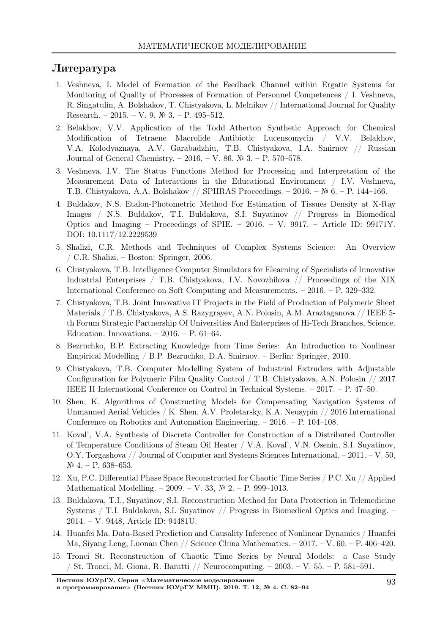### Литература

- 1. Veshneva, I. Model of Formation of the Feedback Channel within Ergatic Systems for Monitoring of Quality of Processes of Formation of Personnel Competences / I. Veshneva, R. Singatulin, A. Bolshakov, T. Chistyakova, L. Melnikov // International Journal for Quality Research. – 2015. – V. 9, № 3. – P. 495–512.
- 2. Belakhov, V.V. Application of the Todd–Atherton Synthetic Approach for Chemical Modification of Tetraene Macrolide Antibiotic Lucensomycin / V.V. Belakhov, V.A. Kolodyaznaya, A.V. Garabadzhiu, T.B. Chistyakova, I.A. Smirnov // Russian Journal of General Chemistry. – 2016. – V. 86, № 3. – P. 570–578.
- 3. Veshneva, I.V. The Status Functions Method for Processing and Interpretation of the Measurement Data of Interactions in the Educational Environment / I.V. Veshneva, T.B. Chistyakova, A.A. Bolshakov // SPIIRAS Proceedings. – 2016. – № 6. – P. 144–166.
- 4. Buldakov, N.S. Etalon-Photometric Method For Estimation of Tissues Density at X-Ray Images / N.S. Buldakov, T.I. Buldakova, S.I. Suyatinov // Progress in Biomedical Optics and Imaging – Proceedings of SPIE. – 2016. – V. 9917. – Article ID: 99171Y. DOI: 10.1117/12.2229539
- 5. Shalizi, C.R. Methods and Techniques of Complex Systems Science: An Overview / C.R. Shalizi. – Boston: Springer, 2006.
- 6. Chistyakova, T.B. Intelligence Computer Simulators for Elearning of Specialists of Innovative Industrial Enterprises / T.B. Chistyakova, I.V. Novozhilova // Proceedings of the XIX International Conference on Soft Computing and Measurements. – 2016. – P. 329–332.
- 7. Chistyakova, T.B. Joint Innovative IT Projects in the Field of Production of Polymeric Sheet Materials / T.B. Chistyakova, A.S. Razygrayev, A.N. Polosin, A.M. Araztaganova // IEEE 5 th Forum Strategic Partnership Of Universities And Enterprises of Hi-Tech Branches, Science. Education. Innovations. – 2016. – P. 61–64.
- 8. Bezruchko, B.P. Extracting Knowledge from Time Series: An Introduction to Nonlinear Empirical Modelling / B.P. Bezruchko, D.A. Smirnov. – Berlin: Springer, 2010.
- 9. Chistyakova, T.B. Computer Modelling System of Industrial Extruders with Adjustable Configuration for Polymeric Film Quality Control / T.B. Chistyakova, A.N. Polosin // 2017 IEEE II International Conference on Control in Technical Systems. – 2017. – P. 47–50.
- 10. Shen, K. Algorithms of Constructing Models for Compensating Navigation Systems of Unmanned Aerial Vehicles / K. Shen, A.V. Proletarsky, K.A. Neusypin // 2016 International Conference on Robotics and Automation Engineering. – 2016. – P. 104–108.
- 11. Koval', V.A. Synthesis of Discrete Controller for Construction of a Distributed Controller of Temperature Conditions of Steam Oil Heater / V.A. Koval', V.N. Osenin, S.I. Suyatinov, O.Y. Torgashova // Journal of Computer and Systems Sciences International. – 2011. – V. 50,  $N<sup>o</sup>$  4. − P. 638–653.
- 12. Xu, P.C. Differential Phase Space Reconstructed for Chaotic Time Series / P.C. Xu // Applied Mathematical Modelling. – 2009. – V. 33, № 2. – P. 999–1013.
- 13. Buldakova, T.I., Suyatinov, S.I. Reconstruction Method for Data Protection in Telemedicine Systems / T.I. Buldakova, S.I. Suyatinov // Progress in Biomedical Optics and Imaging. – 2014. – V. 9448, Article ID: 94481U.
- 14. Huanfei Ma. Data-Based Prediction and Causality Inference of Nonlinear Dynamics / Huanfei Ma, Siyang Leng, Luonan Chen // Science China Mathematics. – 2017. – V. 60. – P. 406–420.
- 15. Tronci St. Reconstruction of Chaotic Time Series by Neural Models: a Case Study / St. Tronci, M. Giona, R. Baratti // Neurocomputing. – 2003. – V. 55. – P. 581–591.

Вестник ЮУрГУ. Серия <sup>≪</sup>Математическое моделирование

и программирование<sup>≫</sup> (Вестник ЮУрГУ ММП). 2019. Т. 12, № 4. С. 82–94